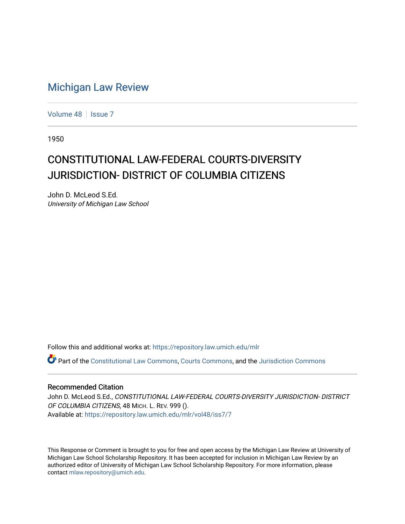### [Michigan Law Review](https://repository.law.umich.edu/mlr)

[Volume 48](https://repository.law.umich.edu/mlr/vol48) | [Issue 7](https://repository.law.umich.edu/mlr/vol48/iss7)

1950

## CONSTITUTIONAL LAW-FEDERAL COURTS-DIVERSITY JURISDICTION- DISTRICT OF COLUMBIA CITIZENS

John D. McLeod S.Ed. University of Michigan Law School

Follow this and additional works at: [https://repository.law.umich.edu/mlr](https://repository.law.umich.edu/mlr?utm_source=repository.law.umich.edu%2Fmlr%2Fvol48%2Fiss7%2F7&utm_medium=PDF&utm_campaign=PDFCoverPages) 

Part of the [Constitutional Law Commons,](http://network.bepress.com/hgg/discipline/589?utm_source=repository.law.umich.edu%2Fmlr%2Fvol48%2Fiss7%2F7&utm_medium=PDF&utm_campaign=PDFCoverPages) [Courts Commons,](http://network.bepress.com/hgg/discipline/839?utm_source=repository.law.umich.edu%2Fmlr%2Fvol48%2Fiss7%2F7&utm_medium=PDF&utm_campaign=PDFCoverPages) and the [Jurisdiction Commons](http://network.bepress.com/hgg/discipline/850?utm_source=repository.law.umich.edu%2Fmlr%2Fvol48%2Fiss7%2F7&utm_medium=PDF&utm_campaign=PDFCoverPages)

#### Recommended Citation

John D. McLeod S.Ed., CONSTITUTIONAL LAW-FEDERAL COURTS-DIVERSITY JURISDICTION- DISTRICT OF COLUMBIA CITIZENS, 48 MICH. L. REV. 999 (). Available at: [https://repository.law.umich.edu/mlr/vol48/iss7/7](https://repository.law.umich.edu/mlr/vol48/iss7/7?utm_source=repository.law.umich.edu%2Fmlr%2Fvol48%2Fiss7%2F7&utm_medium=PDF&utm_campaign=PDFCoverPages)

This Response or Comment is brought to you for free and open access by the Michigan Law Review at University of Michigan Law School Scholarship Repository. It has been accepted for inclusion in Michigan Law Review by an authorized editor of University of Michigan Law School Scholarship Repository. For more information, please contact [mlaw.repository@umich.edu](mailto:mlaw.repository@umich.edu).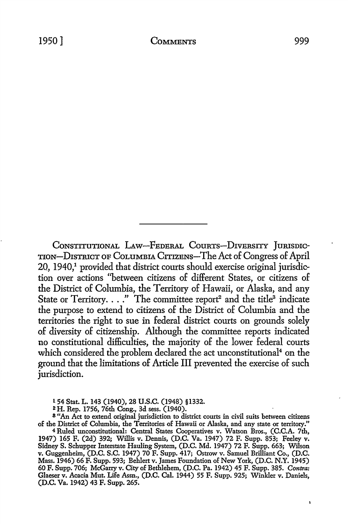CONSTITUTIONAL LAW-FEDERAL COURTS-DIVERSITY JURISDIC-TION-DisTRicT OF COLUMBIA CITIZENS-The Act of Congress of April 20, 1940,<sup>1</sup> provided that district courts should exercise original jurisdiction over actions "between citizens of different States, or citizens of the District of Columbia, the Territory of Hawaii, or Alaska, and any State or Territory. . . ." The committee report<sup>2</sup> and the title<sup>3</sup> indicate the purpose to extend to citizens of the District of Columbia and the territories the right to sue in federal district courts on grounds solely of diversity of citizenship. Although the committee reports indicated no constitutional difficulties, the majority of the lower federal courts which considered the problem declared the act unconstitutional<sup>4</sup> on the ground that the limitations of Article III prevented the exercise of such jurisdiction.

154 Stat. L. 143 (1940), 28 U.S.C. (1948) §1332.

2H. Rep. 1756, 76th Cong., 3d sess. (1940).

<sup>8</sup>"An Act to extend original jurisdiction to district courts in civil suits between citizens of the District of Columbia, the Territories of Hawaii or Alaska, and any state or territory."

<sup>4</sup>Ruled unconstitutional: Central States Cooperatives v. Watson Bros., (C.C.A. 7th, 1947) 165 F. (2d) 392; Willis v. Dennis, (D.C. Va. 1947) 72 F. Supp. 853; Feeley v. Sidney S. Schupper Interstate Hauling System, (D.C. Md. 1947) 72 F. Supp. 663; Wilson v. Guggenheim, (D.C. S.C. 1947) 70 F. Supp. 417; Ostrow v. Samuel Brilliant Co., (D.C. Mass. 1946) 66 F. Supp. 593; Behlert v. James Foundation of New York, (D.C. N.Y. 1945) 60 F. Supp. 706; McGarry v. City of Bethlehem, (D.C. Pa. 1942) 45 F. Supp. 385. *Contra:*  Glaeser v. Acacia Mut. Life Assn., (D.C. Cal. 1944) 55 F. Supp. 925; Winkler v. Daniels, (D.C. Va. 1942) 43 F. Supp. 265.

f,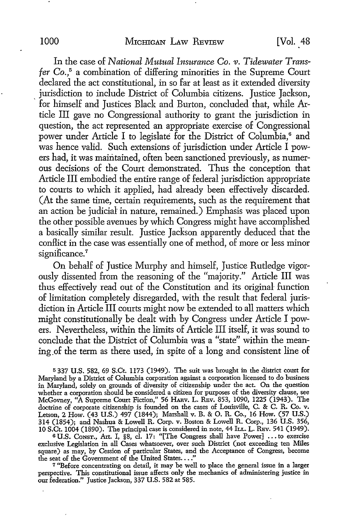In the case of *National Niutual Insurance Co. v. Tidewater Transfer* Co.,5 a combination of differing minorities in the Supreme Court declared the act constitutional, in so far at least as it extended diversity jurisdiction to include District of Columbia citizens. Justice Jackson, · for himself and Justices Black and Burton, concluded that, while Article III gave no Congressional authority to grant the jurisdiction in question, the act represented an appropriate exercise of Congressional power under Article I to legislate for the District of Columbia,<sup>6</sup> and was hence valid. Such extensions of jurisdiction under Article I powers had, it was maintained, often been sanctioned previously, as numerous decisions of the Court demonstrated. Thus the conception that Article III embodied the entire range of federal jurisdiction appropriate to courts to which it applied, had already been effectively discarded. (At the same time, certain requirements, such as the requirement that an action be judicial in nature, remained.) Emphasis was placed upon the other possible avenues by which Congress might have accomplished a basically similar result. Justice Jackson apparently deduced that the conflict in the case was essentially one of method, of more or less minor significance.<sup>7</sup>

On behalf of Justice Murphy and himself, Justice Rutledge vigorously dissented from the reasoning of the "majority." Article III was thus effectively read out of the Constitution and its original function of limitation completely disregarded, with the result that federal jurisdiction in Article III courts might now be extended to all matters which might constitutionally be dealt with by Congress under Article I powers. Nevertheless, within the limits of Article III itself, it was sound to conclude that the District of Columbia was a "state" within the meaning of the term as there used, in spite of a long and consistent line of

<sup>5</sup>337 U.S. 582, 69 S.Ct. 1173 (1949). The suit was brought in the district court for Maryland by a District of Columbia corporation against a corporation licensed to do business in Maryland, solely on grounds of diversity of citizenship under the act. On the question whether a corporation should be considered a citizen for purposes of the diversity clause, see McGovney, "A Supreme Court Fiction," 56 HARV. L. REV. 853, 1090, 1225 (1943). The doctrine of corporate citizenship is founded on the cases of Louisville, C. & C. R. Co. v. Letson, 2 How. (43 U.S.) 497 (1844); Marshall v. B. & 0. R. Co., 16 How. (57 U.S.) 314 (1854); and Nashua & Lowell R. Corp. v. Boston & Lowell R. Corp., 136 U.S. 356, 10 S.Ct. 1004 (1890). The principal case is considered in note, 44 ILL. L. REV. 541 (1949).

<sup>6</sup>U.S. CoNsT., Art. I, §8, cl. 17: "[The Congress shall have Power] ..• to exercise exclusive Legislation in all Cases whatsoever, over such District (not exceeding ten Miles square) as may, by Cession of particular States, and the Acceptance of Congress, become the seat of the Government of the United States...."

<sup>7</sup>"Before concentrating on detail, it may be well to place the general issue in a larger perspective. This constitutional issue affects only the mechanics of administering justice in our federation." Justice Jackson, 337 U.S. 582 at 585.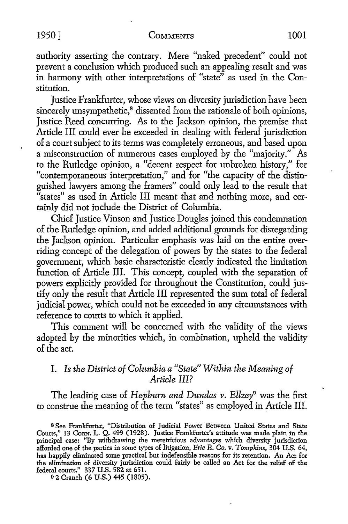authority asserting the contrary. Mere "naked precedent" could not prevent a conclusion which produced such an appealing result and was in harmony with other interpretations of "state" as used in the Constitution.

Justice Frankfurter, whose views on diversity jurisdiction have been sincerely unsympathetic,<sup>8</sup> dissented from the rationale of both opinions, Justice Reed concurring. As to the Jackson opinion, the premise that Article III could ever be exceeded in dealing with federal jurisdiction of a court subject to its terms was completely erroneous, and based upon a misconstruction of numerous cases employed by the "majority." As to the Rutledge opinion, a "decent respect for unbroken history," for "contemporaneous interpretation," and for "the capacity of the distinguished lawyers among the framers" could only lead to the result that "states" as used in Article III meant that and nothing more, and certainly did not include the District of Columbia.

Chief Justice Vinson and Justice Douglas joined this condemnation of the Rutledge opinion, and added additional grounds for disregarding the Jackson opinion. Particular emphasis was laid on the entire overriding concept of the delegation of powers by the states to the federal government, which basic characteristic clearly indicated the limitation function of Article III. This concept, coupled with the separation of powers explicitly provided for throughout the Constitution, could justify only the result that Article III represented the sum total of federal judicial power, which could not be exceeded in any circumstances with reference to courts to which it applied.

This comment will be concerned with the validity of the views adopted by the minorities which, in combination, upheld the validity of the act.

#### I. *Is the District of Columbia a "State" Within the Meaning of Article III?*

The leading case of *Hepburn and Dundas v. Ellzey*<sup>9</sup> was the first to construe the meaning of the term "states" as employed in Article III.

9 2 Cranch (6 U.S.) 445 (1805).

s See Frankfurter, "Distribution of Judicial Power Between United States and State Courts," 13 CoRN. L. Q. 499 (1928). Justice Frankfurter's attitude was made plain in the principal case: "By withdrawing the meretricious advantages which diversity jurisdiction afforded one of the parties in some types of litigation, *Erie R. Co.* v. *Tompkins,* 304 U.S. 64, has happily eliminated some practical but indefensible reasons for its retention. An Act for the elimination of diversity jurisdiction could fairly be called an Act for the relief of the federal courts." 337 U.S. 582 at 651.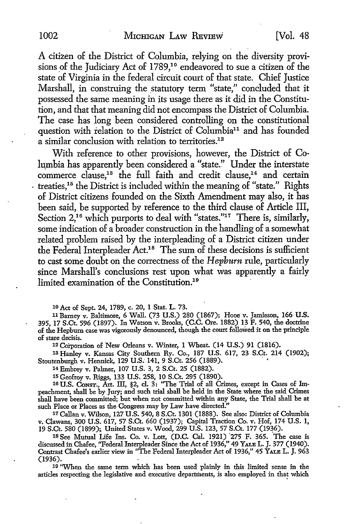A citizen of the District of Columbia, relying on the diversity provisions of the Judiciary Act of 1789,<sup>10</sup> endeavored to sue a citizen of the state of Virginia in the federal circuit court of that state. Chief Justice Marshall, in construing the statutory term "state," concluded that it possessed the same meaning in its usage there as it did in the Constitution, and that that meaning did not encompass the District of Columbia. The case has long been considered controlling on the constitutional question with relation to the District of Columbia<sup>11</sup> and has founded a similar conclusion with relation to territories.<sup>12</sup>

With reference to other provisions, however, the District of Columbia has apparently been considered a "state." Under the interstate commerce clause,<sup>13</sup> the full faith and credit clause,<sup>14</sup> and certain  $\cdot$  treaties,<sup>15</sup> the District is included within the meaning of "state." Rights of District citizens founded on the Sixth Amendment may also, it has been said, be supported by reference to the third clause of Article III, Section 2,<sup>16</sup> which purports to deal with "states."<sup>17</sup> There is, similarly, some indication of a broader construction in the handling of a somewhat related problem raised by the interpleading of a District citizen under the Federal lnterpleader Act.18 The sum of these decisions is sufficient to cast some doubt on the correctness of the *Hepburn* rule, particularly since Marshall's conclusions rest upon what was apparently a fairly limited examination of the Constitution.<sup>19</sup>

10 Act of Sept. 24, 1789, c. 20, 1 Stat. L. 73.

11 Barney v. Baltimore, 6 Wall. (73 U.S.) 280 (1867); Hooe v. Jamieson, 166 U.S. 395, 17 S.Ct. 596 (1897). In Watson *v.* Brooks, (C.C. Ore. 1882) 13 F. 540, the doctrine of the Hepburn case was vigorously denounced, though the court followed it on the principle of stare decisis.

12 Corporation of New Orleans v. Winter, 1 Wheat. (14 U.S.) 91 (1816).

1s Hanley v. Kansas City Southern Ry. Co., 187 U.S. 617, 23 S.Ct. 214 (1902); Stoutenburgh v. Hennick, 129 U.S. 141, 9 S.Ct. 256 (1889).

14 Embrey v. Palmer, 107 U.S. 3, 2 S.Ct. 25 (1882).

15 Geofroy v. Riggs, 133 U.S. 258, 10 S.Ct. 295 (1890).

16 U.S. CoNsT., Art. III, §2, cl. 3: "The Trial of all Crimes, except in Cases of Impeachment, shall be by Jury; and such trial shall be held in the State where the said Crimes shall have been committed; but when not committed within any State, the Trial shall be at such Place or Places as the Congress may by Law have directed."

17 Callan v. Wilson, 127 U.S. 540, 8 S.Ct. 1301 (1888). See also: District of Columbia v. Clawans, 300 U.S. 617, 57 S.Ct. 660 (1937); Capital Traction Co. v. Hof, 174 U.S. 1, 19 S.Ct. 580 (1899);. United States v. Wood, 299 U.S. 123, 57 S.Ct. 177 (1936).

<sup>18</sup> See Mutual Life Ins. Co. v. Lott, (D.C. Cal. 1921)  $275$  F. 365. The case is discussed in Chafee, "Federal Interpleader Since the Act of 1936," 49 YALE L. J. 377 (1940). Contrast Chafee's earlier view in "The Federal Interpleader Act of 1936," 45 YALB L. J. 963 (1936).

19 ''When the same term which has been used plainly in this limited sense in the articles respecting the legislative and executive departments, is also employed in that which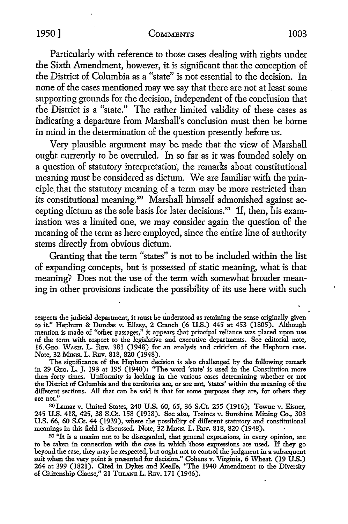Particularly with reference to those cases dealing with rights under the Sixth Amendment, however, it is significant that the conception of the District of Columbia as a "state" is not essential to the decision. In none of the cases mentioned may we say that there are not at least some supporting grounds for the decision, independent of the conclusion that the District is a "state." The rather limited validity of these cases as indicating a departure from Marshall's conclusion must then be borne in mind in the determination of the question presently before us.

Very plausible argument may be made that the view of Marshall ought currently to be overruled. In so far as it was founded solely on a question of statutory interpretation, the remarks about constitutional meaning must be considered as dictum. We are familiar with the principle. that the statutory meaning of a term may be more restricted than its constitutional meaning.<sup>20</sup> Marshall himself admonished against accepting dictum as the sole basis for later decisions.21 H, then, his examination was a limited one, we may consider again the question of the meaning of the term as here employed, since the entire line of authority stems directly from obvious dictum.

Granting that the term "states" is not to be included within the list of expanding concepts, but is possessed pf static meaning, what is that meaning? Does not the use of the term with somewhat broader meaning in other provisions indicate the possibility of its use here with such

The significance of the Hepburn decision is also challenged by the following remark in 29 GEo. L. J. 193 at 195 (1940): "The word 'state' is used in the Constitution more than forty times. Uniformity is lacking in the various cases determining whether or not the District of Columbia and the territories are, or are not, 'states' within the meaning of the different sections. All that can be said is that for some purposes they are, for others they are not."

20Lamar v. United States, 240 U.S. 60, 65, 36 S.Ct. 255 (1916); Towne v. Eisner, 245 U.S. 418, 425, 38 S.Ct. 158 (1918). See also, Treines v. Sunshine Mining Co., 308 U.S. 66, 60 S.Ct. 44 (1939), where the possibility of different statutory and constitutional meanings in this field is discussed. Note, 32 MmN. L. REv. 818, 820 (1948).

21 "It is a maxim not to be disregarded, that general expressions, in every opinion, are to be taken in connection with the case in which 'those expressions are used. If they go beyond the case, they may be respected, but ought not to control the judgment in a subsequent suit when the very point is presented for decision." Cohens v. Virginia, 6 Wheat. (19 U.S.) 264 at 399 (1821). Cited in Dykes and Keeffe, "The 1940 Amendment to the Diversity of Citizenship Clause," 21 TULANE L. REV. 171 (1946).

respects the judicial department, it must be tinderstood as retaining the sense originally given to it." Hepburn & Dundas v. Ellzey, 2 Cranch (6 U.S.) 445 at 453 (1805). Although mention is made of "other passages," it appears that principal reliance was placed upon use of the term with respect to the legislative and executive departments. See editorial note, 16.GEo. WASH. L. REv. 381 (1948) for an analysis and criticism of the Hepburn case. Note, 32 MmN. L. REv. 818, 820 (1948).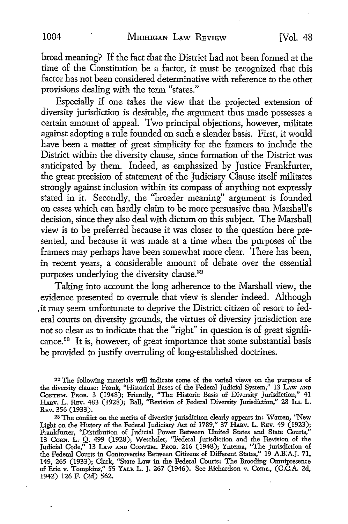broad meaning? If the fact that the District had not been formed at the time of the Constitution be a factor, it must be recognized that this factor has not been considered determinative with reference to the other provisions dealing with the term "states."

Especially if one takes the view that the projected extension of diversity jurisdiction is desirable, the argument thus made possesses a certain amount of appeal. Two principal objections, however, militate against adopting a rule founded on such a slender basis. First, it would have been a matter of great simplicity for the framers to include the District within the diversity clause, since formation of the District was anticipated by them. Indeed, as emphasized by Justice Frankfurter, the great precision of statement of the Judiciary Clause itself militates strongly against inclusion within its compass of anything not expressly stated in it. Secondly, the ''broader meaning" argument is founded on cases which can hardly claim to be more persuasive than Marshall's decision, since they also deal with dictum on this subject. The Marshall view is to be preferred because it was closer to the question here presented, and because it was made at a time when the purposes of the framers may perhaps have been somewhat more clear. There has been, in recent years, a considerable amount of debate over the essential purposes underlying the diversity clause.<sup>22</sup>

Taking into account the long adherence to the Marshall view, the evidence presented to overrule that view is slender indeed. Although . it may seem unfortunate to deprive the District citizen of resort to federal courts on diversity grounds, the virtues of diversity jurisdiction are not so clear as to indicate that the "right" in question is of great significance.<sup>23</sup> It is, however, of great importance that some substantial basis be provided to justify overruling of long-established doctrines.

<sup>22</sup>The following materials will indicate some of the varied views on the purposes of the diversity clause: Frank, "Historical Bases of the Federal Judicial System," 13 LAW AND CoNTBM. PROB. 3 (1948); Friendly, "The Historic Basis of Diversity Jurisdiction," 41 HARv. L. REv. 483 (1928); Ball, "Revision of Federal Diversity Jurisdiction,'' 28 ILL L. REv. 356 (1933).

<sup>23</sup>The conflict on the merits of diversity jurisdiciton clearly appears in: Warren, "New Light on the History of the Federal Judiciary Act of 1789," 37 HARv. L. REv. 49 (1923); Frankfurter, "Distribution of Judicial Power Between United States and State Courts," 13 CoRN. L.- Q. 499 (1928); Weschsler, "Federal Jurisdiction and the Revision of the Judicial Code," 13 LAw AND CoNTBM. PROB. 216 (1948); Yntema, "The Jurisqiction of the Federal Courts in Controversies Between Citizens of Different States," 19 A.RA.J. 71, 149, 265 (1933); Clark, "State Law in the Federal Courts: The Brooding Omnipresence of Erie v. Tompkins," 55 YALE L. J. 267 (1946). See Richardson v. Comr., (C.C.A. 2d, 1942) 126 F. (2d) 562.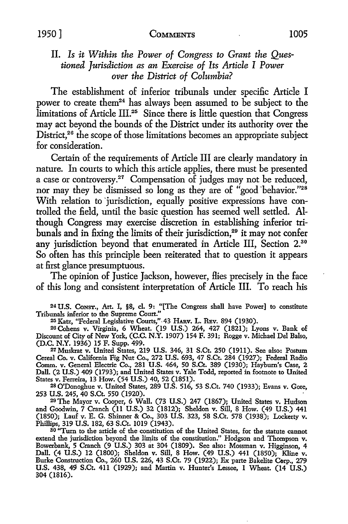#### II. *Is it Within the Power of Congress to Grant the Questioned Jurisdiction as an Exercise of Its Article I Power over the District of Columbia?*

The establishment of inferior tribunals under specific Article I power to create them<sup>24</sup> has always been assumed to be subject to the limitations of Article III.<sup>25</sup> Since there is little question that Congress may act beyond the bounds of the District under its authority over the District,<sup>26</sup> the scope of those limitations becomes an appropriate subject for consideration.

Certain of the requirements of Article III are clearly mandatory in nature. In courts to which this article applies, there must be presented a case or controversy.<sup>27</sup> Compensation of judges may not be reduced, nor may they be dismissed so long as they are of "good behavior."28 With relation to jurisdiction, equally positive expressions have controlled the field, until the basic question has seemed well settled. Although Congress may exercise discretion in establishing inferior tribunals and in fixing the limits of their jurisdiction,<sup>29</sup> it may not confer any jurisdiction beyond that enumerated in Article III, Section 2.30 So often has this principle been reiterated that to question it appears at first glance presumptuous.

The opinion of Justice Jackson, however, Hies precisely in the face of this long and consistent interpretation of Article III. To reach his

24 **U.S.** CoNST., Art. I, §8, cl. 9: "[The Congress shall have Power] to constitute Tribunals inferior to the Supreme Court."

25 Katz, "Federal Legislative Courts,"-43 HARV. L. REv. 894 (1930).

26 Cohens v. Virginia, 6 Wheat. (19 U.S.) 264, 427 (1821); Lyons v. Bank of Discount of City of New York, (C.C. N.Y. 1907) 154 F. 391; Rogge v. Michael Del Balso, (D.C. N.Y. 1936) 15 F. Supp. 499.

27Muskrat v. United States, 219 U.S. 346, 31 S.Ct. 250 (1911). See also: Postum Cereal Co. v. California Fig Nut Co., 272 U.S. 693, 47 S.Ct. 284 (1927); Federal Radio Comm. v. General Electric Co., 281 U.S. 464, 50 S.Ct. 389 (1930); Haybum's Case, 2 Dall. (2 U.S.) 409 (1793); and United States v. Yale Todd, reported in footnote to United States v. Ferreira, 13 How. (54 U.S.) 40, 52 (1851).

<sup>28</sup> O'Donoghue v. United States, 289 U.S. 516, 53 S.Ct. 740 (1933); Evans v. Gore, 253 U.S. 245, 40 S.Ct. 550 (1920).

253 U.S. 245, 40 S.Ct. 550 (1920).<br><sup>29</sup> The Mayor v. Cooper, 6 Wall. (73 U.S.) 247 (1867); United States v. Hudson and Goodwin, 7 Cranch (11 U.S.) 32 (1812); Sheldon v. Sill, 8 How. (49 U.S.) 441 (1850); Lauf v. E. G. Shinner &: Co., 303 U.S. 323, 58 S.Ct. 578 (1938); Lockerty v. Phillips, 319 U.S. 182, 63 S.Ct. 1019 (1943).

so "Tum to the article of the constitution of the United States, for the statute cannot extend the jurisdiction beyond the limits of the constitution." Hodgson and Thompson v. Bowerbank, 5 Cranch (9 U.S.) 303 at 304 (1809). See also: Mossman v. Higginson, 4 Dall. (4 U.S.) 12 (1800); Sheldon v. Sill, 8 How. (49 U.S.) 441 (1850); Kline v. Burke Construction Co., 260 **U.S.** 226, 43 S.Ct. 79 (1922); Ex parte Bakelite O>rp., 279 U.S. 438, 49 S.Ct. 411 (1929); and Martin v. Hunter's Lessee, 1 Wheat. (14 U.S.) 304 (1816).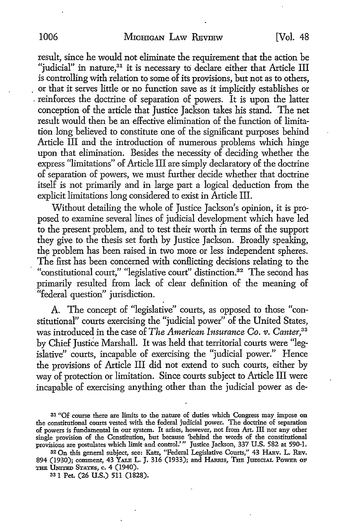result, since he would not eliminate the requirement that the action be "judicial" in nature,<sup>31</sup> it is necessary to declare either that Article III is controlling with relation to some of its provisions, but not as to others, or that it serves little or no function save as it implicitly establishes or . reinforces the doctrine of separation of powers. It is upon the latter conception of the article that Justice Jackson takes his stand. The net result would then be an effective elimination of the function of limitation long believed to constitute one of the significant purposes behind Article III and the introduction of numerous problems which hinge upon that elimination. Besides the necessity of deciding whether the express "limitations" of Article III are simply declaratory of the doctrine of separation of powers, we must further decide whether that doctrine itself is not primarily and in large part a logical deduction from the explicit limitations long considered to exist in Article III.

Without detailing the whole of Justice Jackson's opinion, it is proposed to examine several lines of judicial development which have led to the present problem, and to test their worth in terms of the support they give to the thesis set forth by Justice Jackson. Broadly speaking, the problem has been raised in two more or less independent spheres. The first has been concerned with conflicting decisions relating to the "constitutional court," "legislative court" distinction.<sup>32</sup> The second has primarily resulted from lack of clear definition of the meaning of "federal question" jurisdiction.

A. The concept of "legislative" courts, as opposed to those "constitutional" courts exercising the "judicial power" of the United States, was introduced in the case of *The American Insurance Co. v. Canter,33*  by Chief Justice Marshall. It was held that territorial courts were "legislative" courts, incapable of exercising the "judicial power." Hence the provisions of Article III did not extend to such courts, either by way of protection or limitation. Since courts subject to Article III were incapable of exercising anything other than the judicial power as de-

32 On this general subject, see: Katz, "Federal Legislative Courts," 43 HARv. L. REv. 894 (1930); comment, 43 YALE L. J. 316 (1933); and HARRIS, THE JUDICIAL PowER OF THE UNITED STATES, c. 4 (1940).

33 I Pet. (26 U.S.) 511 (1828).

<sup>31 &</sup>quot;Of course there are limits to the nature of duties which Congress may impose on the constitutional courts vested with the federal judicial power. The doctrine of separation of powers is fundamental in our system. It arises, however, not from Art. III nor any other single provision of the Constitution, but because 'behind the words of the constitutional provisions are postulates which limit and control."' Justice Jackson, 337 U.S. 582 at 590-1.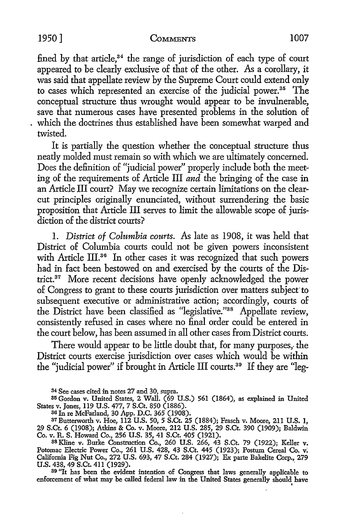fined by that article, $34$  the range of jurisdiction of each type of court appeared to be clearly exclusive of that of the other. As a corollary, it was said that appellate review by the Supreme Court could extend only to cases which represented an exercise of the judicial power.<sup>35</sup> The conceptual structure thus wrought would appear to be invulnerable, save that numerous cases have presented problems in the solution of which the doctrines thus established have been somewhat warped and twisted.

It is partially the question whether the conceptual structure thus neatly molded must remain so with which we are ultimately concerned. Does the definition of "judicial power" properly include both the meeting of the requirements of Article III *and* the bringing of the case in an Article III court? May we recognize certain limitations on the clearcut principles originally enunciated, without surrendering the basic proposition that Article III serves to limit the allowable scope of jurisdiction of the district courts?

1. *District of Columbia courts.* As late as 1908, it was held that District of Columbia courts could not be given powers inconsistent with Article III.<sup>36</sup> In other cases it was recognized that such powers had in fact been bestowed on and exercised by the courts of the District. 37 More recent decisions have openly acknowledged the power of Congress to grant to these courts jurisdiction over matters subject to subsequent executive or administrative action; accordingly, courts of the District have been classified as "legislative."38 Appellate review, consistently refused in cases where no final order could be entered in the court below, has been assumed in all other cases from District courts.

There would appear to be little doubt that, for many purposes, the District courts exercise jurisdiction over cases which would be within the "judicial power" if brought in Article III courts.39 If they are "leg-

<sup>34</sup>See cases cited in notes 27 and 30, supra.

85 Gordon v. United States, 2 Wall. (69 U.S.) 561 (1864), as explained in United States v. Jones, 119 U.S. 477, 7 S.Ct. 850 (1886).

<sup>36</sup>In re McFarland, 30 App. D.C. 365 (1908).

87Butterworth v. Hoe, 112 U.S. 50, 5 S.Ct. 25 (1884); Frasch v. Moore, 211 U.S. 1, 29 S.Ct. 6 (1908); Atkins & Co. v. Moore, 212 U.S. 285, 29 S.Ct. 390 (1909); Baldwin Co. v. R. S. Howard Co., 256 U.S. 35, 41 S.Ct. 405 (1921).

88 Kline v. Burke Construction Co., 260 U.S. 266, 43 S.Ct. 79 (1922); Keller v. Potomac Electric Power Co., 261 U.S. 428, 43 S.Ct. 445 (1923); Postum Cereal Co. v: California Fig Nut Co., 272 U.S. 693, 47 S.Ct. 284 (1927); Ex parte Bakelite Corp., 279  $U.S. 438, 49 S.C. 411 (1929).$ 

89 "It has been the evident intention of Congress that laws generally applicable to enforcement of what may be called federal law in the United States generally should have I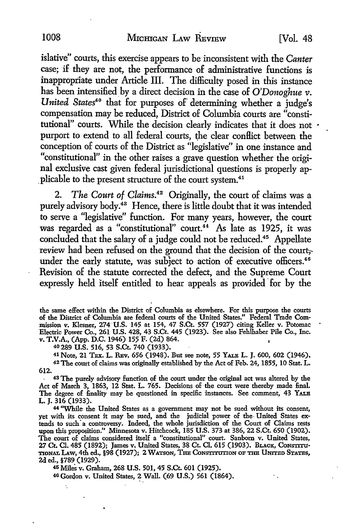islative" courts, this exercise appears to he inconsistent with the *Canter*  case; if they are not, the performance of administrative functions is inappropriate under Article III. The difficulty posed in this instance has been intensified by a direct decision in the case of *O'Donoghue v. United States40* that for purposes of determining whether a judge's compensation may he reduced, District of Columbia courts are "constitutional" courts. While the decision clearly indicates that it does not  $\cdot$ purport to extend to all federal courts, the clear conflict between the conception of courts of the District as "legislative" in one instance and "constitutional" in the other raises a grave question whether the original exclusive cast given federal jurisdictional questions is properly ap plicable to the present structure of the court system.<sup>41</sup>

2. *The Court of Claims.42* Originally, the court of claims was a purely advisory body.<sup>43</sup> Hence, there is little doubt that it was intended to serve a "legislative" function. For many years, however, the court was regarded as a "constitutional" court.<sup>44</sup> As late as 1925, it was concluded that the salary of a judge could not be reduced.<sup>45</sup> Appellate review had been refused on the ground that the decision of the court, under the early statute, was subject to action of executive officers. $46$ Revision of the statute corrected the defect, and the Supreme Court expressly held itself entitled to hear appeals as provided for by the

the same effect within the District of Columbia as elsewhere. For this purpose the courts of the District of Columbia are federal courts of the United States." Federal Trade Commission v. Klesner, 274 **·U.S.** 145 at 154, 47 S.Ct. 557 (1927) citing Keller v. Potomac Electric Power Co., 261 **U.S.** 428, 43 S.Ct. 445 (1923). See also Fehlhaber Pile Co,, Inc. v. **T.V.A.,** (App. D.C. 1946) 15? F. (2d) 864.

40 289 **U.S.** 516, 53 S.Ct. 740 (1933).

Ä.

**612.**  41 Note, 21 TEX. L. REV. 656 (1948). But see note, 55 YALE L. J. 600, 602 (1946), 42 The court of claims was originally established by the Act of Feb. 24, 1855, 10 Stat. L.

. 43 The purely advisory function of the court under the original act was altered by the Act of March 3, 1863, 12 Stat. L. 765. Decisions of the court were thereby made final. The degree of finality may be questioned in specific instances. See comment, 43 YALE L. J. 316 (1933).

<sup>44</sup>"While the United States as a government may not be sued without its consent, yet with its consent it may be sued, and the judicial power of the- United States extends to such· a controversy. Indeed, the whole jurisdiction of the Court of Claims rests upon this proposition." Minnesota v. Hitchcock, 185 U.S. 373 at 386, 22 S.Ct. 650 (1902). The court of claims considered itself a "constitutional" court. Sanborn v. United States, 27 Ct. Cl. 485 (1892); James v. United States, 38 Ct. Cl. 615 (1903). BLACK, CONSTITU-TIONAL LAW, 4th ed., §98 (1927); 2 WATSON, THE CONSTITUTION OF THE UNITED STATES, 2d ed., §789 (1929).

45 Miles v. Graham, 268 U.S. 501, 45 S.Ct. 601 (1925).

46Gordon v. United States, 2 Wall. (69 U.S.) 561 (1864).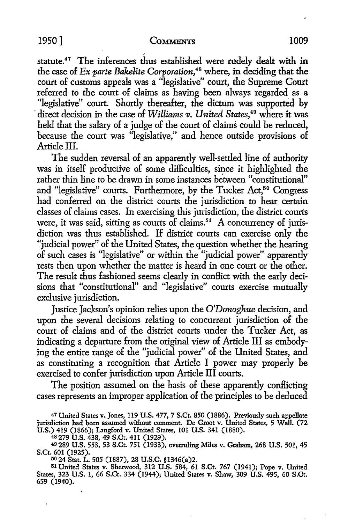# 1950] **CoMMENTS** 1009 ,

statute.<sup>47</sup> The inferences thus established were rudely dealt with in the case of *Ex parte Bakelite Corporation,48* where, in deciding that the court of customs appeals was a "legislative" court, the Supreme Court referred *to* the court of claims as having been always regarded as a "legislative" court. Shortly thereafter, the dictum was supported by direct decision in the case of *Williams v. United States*,<sup>49</sup> where it was held that the salary of a judge of the court of claims could be reduced, because the court was "legislative," and hence outside provisions of Article III.

The sudden reversal of an apparently well-settled line of authority was in itself productive of some difficulties, since it highlighted the rather thin line *to* be drawn in some instances between "constitutional" and "legislative" courts. Furthermore, by the Tucker Act,<sup>50</sup> Congress had conferred on the district courts the jurisdiction *to* hear certain classes of claims cases. In exercising this jurisdiction, the district courts were, it was said, sitting as courts of claims.<sup>51</sup> A concurrency of jurisdiction was thus established. If district courts can exercise only the "judicial power" of the United States, the question whether the hearing of such cases is "legislative" or within the "judicial power" apparently rests then upon whether the matter is heard in one court or the other. The result thus fashioned seems clearly in conflict with the early decisions that "constitutional" and "legislative" courts exercise mutually exclusive jurisdiction.

Justice Jackson's opinion relies upon the *O'Donoghue* decision, and upon the several decisions relating *to* concurrent jurisdiction of the court of claims and of the district courts under the Tucker Act, as indicating a departure from the original view of Article III as embodying the entire range of the "judicial power" of the United States, and as constituting a recognition that Article I power may properly be exercised *to* confer jurisdiction upon Article III courts.

The position assumed on the basis of these apparently conflicting cases represents an improper application of the principles to be deduced

47 United States v. Jones, 119 U.S. 477, 7 S.Ct. 850 (1886). Previously such appellate jurisdiction had been assumed without comment. De Groot v. United States, 5 Wall. (72 U.S.) 419 (1866); Langford v. United States, 101 U.S. 341 (1880).

48279 U.S. 438, 49 S.Ct. 411 (1929).

49 289 U.S. 553, 53 S.Ct. 751 (1933), overruling Miles v. Graham, 268 U.S. 501, 45 S.Ct. 601 (1925).

50 24 Stat. L. 505 (1887), 28 U.S.C. §1346(a)2.

51 United States v. Sherwood, 312 U.S. 584, 61 S.Ct. 767 (1941); Pope v. United States, 323 U.S. 1, 66 S.Ct. 334 (1944); United States v. Shaw, 309 U.S. 495, 60 S.Ct. 659 (1940).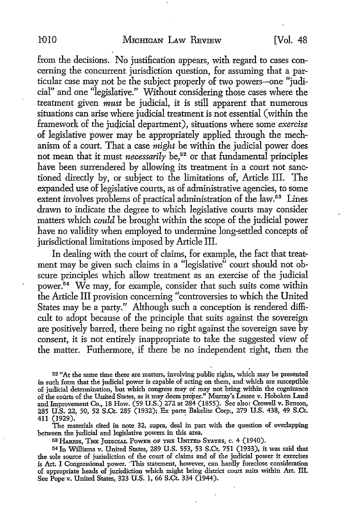from the decisions. No justification appears, with regard to cases concerning the concurrent jurisdiction question, for assuming that a particular case may not be the subject properly of two powers-one "judicial" and one "legislative." Without considering those cases where the treatment given *must* be judicial, it is still apparent that numerous situations can arise where judicial treatment is not essential ( within the framework of the judicial department), situations where some *exercise* of legislative power may be appropriately applied through the mechanism of a court. That a case *might* be within the judicial power does not mean that it must *necessarily* be,<sup>52</sup> or that fundamental principles have been surrendered by allowing its treatment in a court not sanctioned directly by, or subject to the limitations of, Article III. The expanded use of legislative courts, as of administrative agencies, to some extent involves problems of practical administration of the law. 53 Lines drawn to indicate the degree to which legislative courts may consider matters which *could* be brought within the scope of the judicial power have no validity when employed to undermine long-settled concepts of jurisdictional limitations imposed by Article III.

In dealing with the court of claims, for example, the fact that treatment may be given such claims in a "legislative" court should not obscure principles which allow treatment as an exercise of the judicial power.54 We may, for example, consider that such suits come within the Article III provision concerning "controversies to which the United States may be a party." Although such a conception is rendered difficult to adopt because of the principle that suits against the sovereign are positively barred, there being no right against the sovereign save by consent, it is not entirely inappropriate to take the suggested view of the matter. Futhermore, if there be no independent right, then the

52 "At the same time there are matters, involving public rights, which may be presented in such form that the judicial power is capable of acting on them, and which are susceptible of judicial determination, but which congress may or may not bring within the cognizance of the courts of the United States, as it may deem proper." Murray's Lessee v. Hoboken Land and Improvement Co., 18 How. (59 U.S.) 272 at 284 (1855). See also: Crowell v. Benson, 285 U.S. 22, 50, 52 S.Ct. 285 (1932); Ex parte Bakelite Corp., 279 U.S. 438, 49 S.Ct. 411 (1929). .

The materials cited in note 32, supra, deal in part with the question of overlapping between the judicial and legislative powers in this area.

53 HARRIS, THE JUDICIAL POWER OF THE UNITED STATES, c. 4 (1940).

<sup>54</sup>In Williams v. United States, 289 U.S. 553, 53 S.Ct. 751 (1933), it was said that the sole source of jurisdiction of the court of claims and of the judicial power it exercises is Art. I Congressional power. ·This statement, however, can hardly foreclose consideration of appropriate heads of jurisdiction which might bring district court suits within Art. III. See Pope v. United States, 323 U.S. 1, 66 S.Ct. 334 (1944).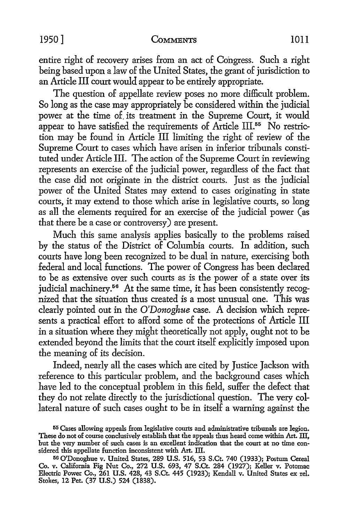#### 1950] COMMENTS IOll

entire right of recovery arises from an act of Congress. Such a right being based upon a law of the United States, the grant of jurisdiction to an Article III court would appear to be entirely appropriate.

The question of appellate review poses no more difficult problem. So long as the case may appropriately be considered within the judicial power at the time of. its treatment in the Supreme Court, it would appear to have satisfied the requirements of Article III.<sup>55</sup> No restriction may be found in Article III limiting the right of review of the Supreme Court to cases which have arisen in inferior tribunals constituted under Article III. The action of the Supreme Court in reviewing represents an exercise of the judicial power, regardless of the fact that the case did not originate in the district courts. Just as the judicial power of the United States may extend to cases originating in state courts, it may extend to those which arise in legislative courts, so long as all the elements required for an exercise of the judicial power (as that there be a case or controversy) are present.

Much this same analysis applies basically to the problems raised by the status of the District of Columbia courts. In addition, such courts have long been recognized to be dual in nature, exercising both federal and local functions. The power of Congress has been declared to be as extensive over such courts as is the power of a state over its judicial machinery.<sup>56</sup> At the same time, it has been consistently recognized that the situation thus created is a most unusual one. This was clearly pointed out in the *O'Donoghue* case. A decision which represents a practical effort to afford some of the protections of Article III in a situation where they might theoretically not apply, ought not to be extended beyond the limits that the court itself explicitly imposed upon the meaning of its decision.

Indeed, nearly all the cases which are cited by Justice Jackson with reference to this particular problem, and the background cases which have led to the conceptual problem in this field, suffer the defect that they do not relate directly to the jurisdictional question. The very collateral nature of such cases ought to be in itself a warning against the

<sup>55</sup> Cases allowing appeals from legislative courts and administrative tribunals are legion. These do not of course conclusively establish that the appeals thus heard come within Art. III, but the very number of such cases is an excellent indication that the court at no time considered this appellate function inconsistent with Art. III.

<sup>56</sup> O'Donoghue v. United States, 289 **U.S.** 516, 53 S.Ct. 740 (1933); Postum Cereal Co. v. California Fig Nut Co., 272 U.S. 693, 47 S.Ct. 284 (1927); Keller v. Potomac Electric Power Co., 261 U.S. 428, 43 S.Ct. 445 (1923); Kendall v. United States ex rel. Stokes, 12 Pet. (37 U.S.) 524 (1838).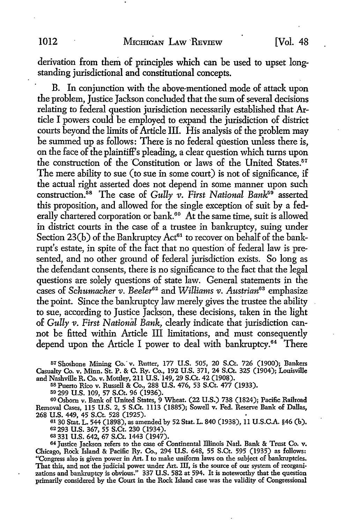derivation from them of principles which can be used to upset longstanding jurisdictional and constitutional concepts.

B. In conjunction with the above-mentioned mode of attack upon the problem, Justice Jackson concluded that the sum of several decisions relating to federal question jurisdiction necessarily established that Article I powers could be employed to expand the jurisdiction of district courts beyond the limits of Article III. His analysis of the problem may be summed up as follows: There is no federal question unless there is, on the face of the plaintiff's pleading, a clear question which turns upon the construction of the Constitution or laws of the United States. $57$ The mere ability to sue (to sue in some court) is not of significance, if the actual right asserted does not depend in some manner upon such construction.<sup>58</sup> The case of *Gully v. First National Bank*<sup>59</sup> asserted this proposition, and allowed for the single exception of suit by a federally chartered corporation or bank.<sup>60</sup> At the same time, suit is allowed in district courts in the case of a trustee in bankruptcy, suing under Section  $23(b)$  of the Bankruptcy Act<sup>61</sup> to recover on behalf of the bankrupt's estate, in spite of the fact that no question of federal law is presented, and no other ground of federal jurisdiction exists. So long as the defendant consents, there is no significance to the fact that the legal questions are solely questions of state law. General statements in the cases of *Schumacher v. Beeler*<sup>62</sup> and *Williams v. Austrian*<sup>63</sup> emphasize the point. Since the bankruptcy law merely gives the trustee the ability to sue, according to Justice Jackson, these decisions, taken in the light of *Gully v. First National Bank*, clearly indicate that jurisdiction cannot be fitted within Article III limitations, and must consequently depend upon the Article I power to deal with bankruptcy.64 There

57 Shoshone Mining Co." v. Rutter, 177 U.S. 505, 20 S.Ct. 726 (1900); Bankers Casualty Co. v. Minn. St. P. & C. Ry. Co., 192 U.S. 371, 24 S.Ct. 325 (1904); Louisville and Nashville R. Co. v. Mottley, 211 U.S:149, 29 S.Ct. 42 (1908).

58 Puerto Rico v. Russell & Co., 288 U.S. 476, 53 S.Ct. 477 (1933).

<sup>59</sup> 299 U.S. 109, 57 S.Ct. 96 (1936).<br><sup>60</sup> Osborn v. Bank of United States, 9 Wheat. (22 U.S.) 738 (1824); Pacific Railroad Removal Cases, 115 U.S. 2, 5 S.Ct. 1113 (1885); Sowell v. Fed. Reserve Bank of Dallas, 268 U.S. 449, 45 S.Ct. 528 (1925).<br>
<sup>61</sup> 30 Stat. L. 544 (1898), as amended by 52 Stat. L. 840 (1938), 11 U.S.C.A. §46 (b).

62 293 U.S. 367, 55 S.Ct. 230 (1934).

63 331 U.S. 642, 67 S.Ct. 1443 (1947).<br>64 Justice Jackson refers to the case of Continental Illinois Natl. Bank & Trust Co. v. Chicago, Rock Island & Pacific Ry. Co., 294 U.S. 648, 55 S.Ct. 595 (1935) as follows: "Congress also is given power in Art. I to make uniform laws on the subject of bankruptcies. That this, and not the judicial power under Art. III, is the source of our system of reorganizations and bankruptcy is obvious." 337 U.S. 582 at 594. It is noteworthy that the question primarily considered by the Court in the Rock Island case was the validity of Congressional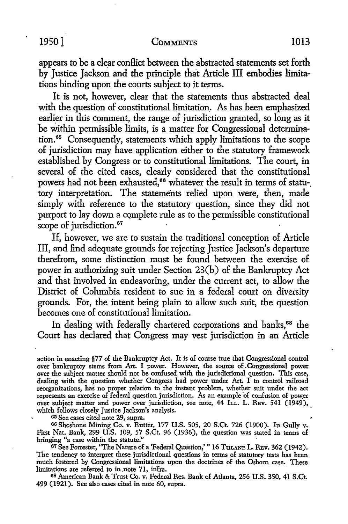appears to be a clear conflict between the abstracted statements set forth by Justice Jackson and the principle that Article III embodies limitations binding upon the courts subject to it terms.

It is not, however, clear that the statements thus abstracted deal with the question of constitutional limitation. As has been emphasized earlier in this comment, the range of jurisdiction granted, so long as it be within permissible limits, is a matter for Congressional determination. 65 Consequently, statements which apply limitations to the scope of jurisdiction may have application either to the statutory framework established by Congress or to constitutional limitations. The court, in several of the cited cases, clearly considered that the constitutional powers had not been exhausted,<sup>66</sup> whatever the result in terms of statu-. tory interpretation. The statements relied upon were, then, made simply with reference to the statutory question, since they did not purport to lay down a complete rule as to the permissible constitutional scope of jurisdiction.<sup>67</sup>

If, however, we are to sustain the traditional conception of Article III, and find adequate grounds for rejecting Justice Jackson's departure therefrom, some distinction must be found between the exercise of power in authorizing suit under Section 23(b) of the Bankruptcy Act and that involved in endeavoring, under the current act, to allow the District of Columbia resident to sue in a federal court on diversity grounds. For, the intent being plain to allow such suit, the question becomes one of constitutional limitation.

In dealing with federally chartered corporations and banks,<sup>68</sup> the Court has declared that Congress may vest jurisdiction in an Article

action in enacting §77 of the Bankruptcy Act. It is of course true that Congressional control over bankruptcy stems from Art. I power. However, the source of. Congressional power over the subject matter should not be confused with the jurisdictional question. This case, dealing with the question whether Congress had power under Art. I to control railroad reorganizations, has no proper relation to the instant problem, whether suit under the act represents an exercise of federal question jurisdiction. As an example of confusion of power over subject matter and power over jurisdiction, see note, 44 ILL. L. REv. 541 (1949), which follows closely Justice Jackson's analysis.

65 See cases cited note 29, supra.

66 Shoshone Mining Co. v. Rutter, 177 U.S. 505, 20 S.Ct. 726 (1900). In Gully v. First Nat. Bank, 299 U.S. 109, 57 S.Ct. 96 (1936), the question was stated in terms of bringing "a case within the statute."

67 See Forrester, "The Nature of a 'Federal Question,'" 16 TuLANE L. REv. 362 (1942). The tendency to interpret these jurisdictional questions in terms of statutory tests has been much fostered by Congressional limitations upon the doctrines of the Osborn case. These limitations are referred to in .note 71, infra.

68 American Bank & Trust Co. v. Federal Res. Bank of Atlanta, 256 U.S. 350, 41 S.Ct. 499 (1921). See also cases cited in note 60, supra.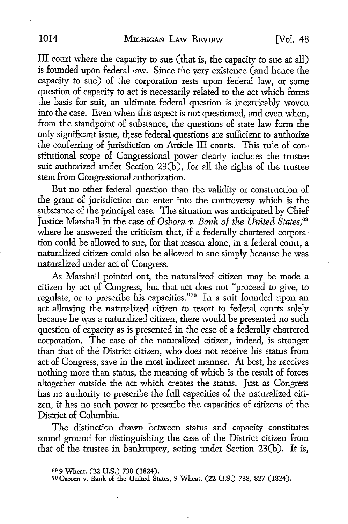III court where the capacity to sue (that is, the capacity. to sue at all) is founded upon federal law. Since the very existence (and hence the capacity to sue) of the corporation rests upon federal law, or some question of capacity to act is necessarily related to the act which forms the basis for suit, an ultimate federal question is inextricably woven into the case. Even when this aspect is not questioned, and even when, from the standpoint of substance, the questions of state law form the only significant issue, these federal questions are sufficient to authorize the conferring of jurisdiction on Article III courts. This rule of constitutional scope of Congressional power clearly includes the trustee suit authorized under Section 23(b), for all the rights of the trustee stern from Congressional authorization.

But no other federal question than the validity or construction of the grant of jurisdiction can enter into the controversy which is the substance of the principal case. The situation was anticipated by Chief Justice Marshall in the case of *Osborn v. Bank of the United States*,<sup>69</sup> where he answered the criticism that, if a federally chartered corporation could be allowed to sue, for that reason alone, in a federal court, a naturalized citizen could also be allowed to sue simply because he was naturalized under act of Congress.

As Marshall pointed out, the naturalized citizen may be made a citizen by act 9f Congress, but that act does not ''proceed to give, to regulate, or to prescribe his capacities."70 In a suit founded upon an act allowing the naturalized citizen to resort to federal courts solely because he was a naturalized citizen, there would be presented no such question of capacity as is presented in the case of a federally chartered corporation. The case of the naturalized citizen, indeed, is stronger than that of the District citizen, who does not receive his status from act of Congress, save in the most indirect manner. At best, he receives nothing more than status, the meaning of which is the result of forces altogether outside the act which creates the status. Just as Congress has no authority to prescribe the full capacities of the naturalized citizen, it has no such power to prescribe the capacities of citizens of the District of Columbia.

The distinction drawn between status and capacity constitutes sound ground for distinguishing the case of the District citizen from that of the trustee in bankruptcy, acting under Section 23(b). It is,

<sup>69 9</sup> Wheat. (22 U.S.) 738 (1824).

<sup>70</sup> Osborn v. Bank of the United States, 9 Wheat. (22 U.S.) 738, 827 (1824).